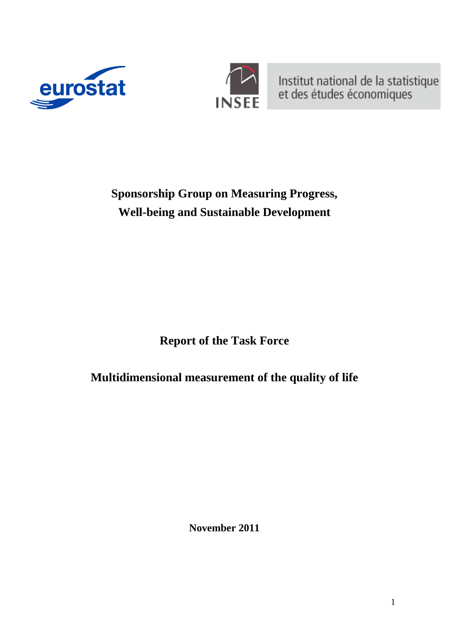



Institut national de la statistique<br>et des études économiques

**Sponsorship Group on Measuring Progress, Well-being and Sustainable Development** 

**Report of the Task Force** 

**Multidimensional measurement of the quality of life** 

**November 2011**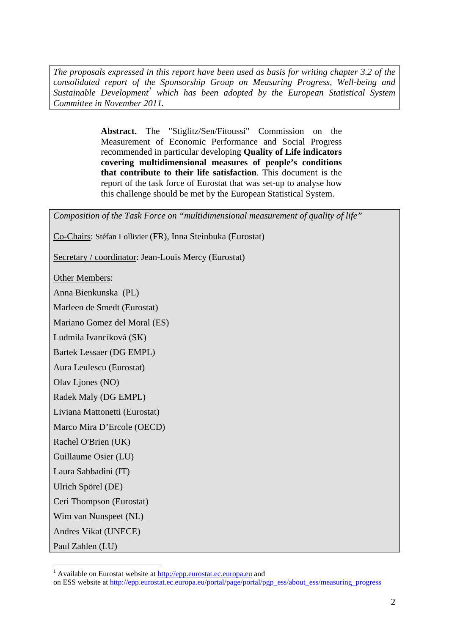*The proposals expressed in this report have been used as basis for writing chapter 3.2 of the consolidated report of the Sponsorship Group on Measuring Progress, Well-being and*  Sustainable Development<sup>1</sup> which has been adopted by the European Statistical System *Committee in November 2011.* 

> **Abstract.** The "Stiglitz/Sen/Fitoussi" Commission on the Measurement of Economic Performance and Social Progress recommended in particular developing **Quality of Life indicators covering multidimensional measures of people's conditions that contribute to their life satisfaction**. This document is the report of the task force of Eurostat that was set-up to analyse how this challenge should be met by the European Statistical System.

*Composition of the Task Force on "multidimensional measurement of quality of life"* 

Co-Chairs: Stéfan Lollivier (FR), Inna Steinbuka (Eurostat)

Secretary / coordinator: Jean-Louis Mercy (Eurostat)

Other Members:

Anna Bienkunska (PL)

Marleen de Smedt (Eurostat)

Mariano Gomez del Moral (ES)

Ludmila Ivancíková (SK)

Bartek Lessaer (DG EMPL)

Aura Leulescu (Eurostat)

Olav Ljones (NO)

Radek Maly (DG EMPL)

Liviana Mattonetti (Eurostat)

Marco Mira D'Ercole (OECD)

Rachel O'Brien (UK)

Guillaume Osier (LU)

Laura Sabbadini (IT)

Ulrich Spörel (DE)

Ceri Thompson (Eurostat)

Wim van Nunspeet (NL)

Andres Vikat (UNECE)

Paul Zahlen (LU)

<sup>&</sup>lt;sup>1</sup> Available on Eurostat website [at](http://epp.eurostat.ec.europa.eu/) http://epp.eurostat.ec.europa.eu and

[on ESS website at http://epp.eurostat.ec.europa.eu/portal/page/portal/pgp\\_ess/about\\_ess/measuring\\_progress](http://epp.eurostat.ec.europa.eu/portal/page/portal/pgp_ess/about_ess/measuring_progress)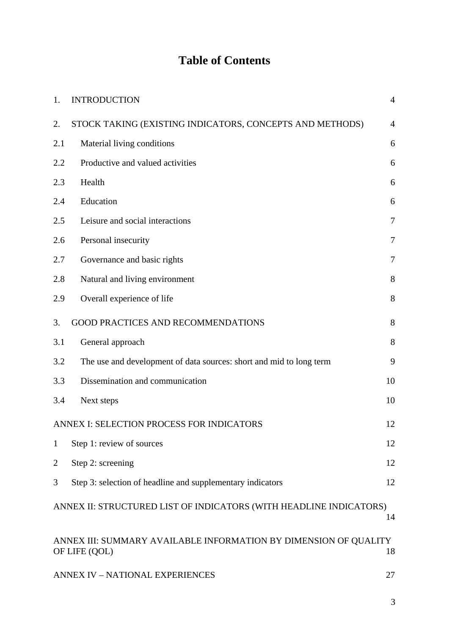## **Table of Contents**

| 1.             | <b>INTRODUCTION</b>                                                                     | $\overline{4}$ |  |  |  |  |  |  |
|----------------|-----------------------------------------------------------------------------------------|----------------|--|--|--|--|--|--|
| 2.             | STOCK TAKING (EXISTING INDICATORS, CONCEPTS AND METHODS)                                | $\overline{4}$ |  |  |  |  |  |  |
| 2.1            | Material living conditions                                                              | 6              |  |  |  |  |  |  |
| 2.2            | Productive and valued activities                                                        | 6              |  |  |  |  |  |  |
| 2.3            | Health                                                                                  | 6              |  |  |  |  |  |  |
| 2.4            | Education                                                                               | 6              |  |  |  |  |  |  |
| 2.5            | Leisure and social interactions                                                         | $\tau$         |  |  |  |  |  |  |
| 2.6            | Personal insecurity                                                                     | $\overline{7}$ |  |  |  |  |  |  |
| 2.7            | Governance and basic rights                                                             | $\overline{7}$ |  |  |  |  |  |  |
| 2.8            | Natural and living environment                                                          | 8              |  |  |  |  |  |  |
| 2.9            | Overall experience of life                                                              | 8              |  |  |  |  |  |  |
| 3.             | <b>GOOD PRACTICES AND RECOMMENDATIONS</b>                                               | 8              |  |  |  |  |  |  |
| 3.1            | General approach                                                                        | 8              |  |  |  |  |  |  |
| 3.2            | The use and development of data sources: short and mid to long term                     | 9              |  |  |  |  |  |  |
| 3.3            | Dissemination and communication                                                         | 10             |  |  |  |  |  |  |
| 3.4            | Next steps                                                                              | 10             |  |  |  |  |  |  |
|                | ANNEX I: SELECTION PROCESS FOR INDICATORS                                               | 12             |  |  |  |  |  |  |
| $\mathbf{1}$   | Step 1: review of sources                                                               | 12             |  |  |  |  |  |  |
| $\overline{c}$ | Step 2: screening                                                                       | 12             |  |  |  |  |  |  |
| 3              | Step 3: selection of headline and supplementary indicators                              | 12             |  |  |  |  |  |  |
|                | ANNEX II: STRUCTURED LIST OF INDICATORS (WITH HEADLINE INDICATORS)<br>14                |                |  |  |  |  |  |  |
|                | ANNEX III: SUMMARY AVAILABLE INFORMATION BY DIMENSION OF QUALITY<br>18<br>OF LIFE (QOL) |                |  |  |  |  |  |  |
|                | <b>ANNEX IV - NATIONAL EXPERIENCES</b><br>27                                            |                |  |  |  |  |  |  |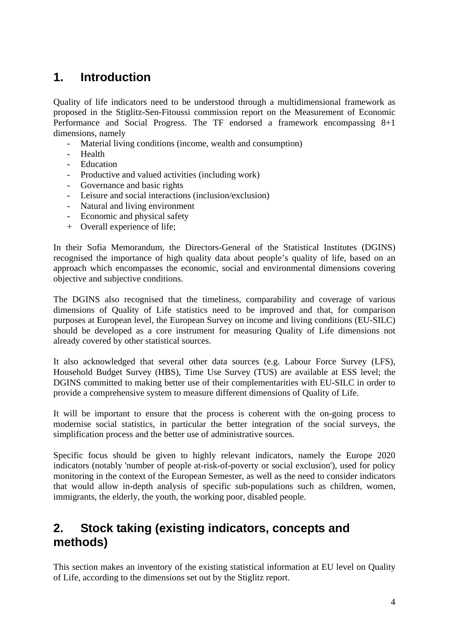## <span id="page-3-0"></span>**1. Introduction**

Quality of life indicators need to be understood through a multidimensional framework as proposed in the Stiglitz-Sen-Fitoussi commission report on the Measurement of Economic Performance and Social Progress. The TF endorsed a framework encompassing 8+1 dimensions, namely

- Material living conditions (income, wealth and consumption)
- Health
- Education
- Productive and valued activities (including work)
- Governance and basic rights
- Leisure and social interactions (inclusion/exclusion)
- Natural and living environment
- Economic and physical safety
- + Overall experience of life;

In their Sofia Memorandum, the Directors-General of the Statistical Institutes (DGINS) recognised the importance of high quality data about people's quality of life, based on an approach which encompasses the economic, social and environmental dimensions covering objective and subjective conditions.

The DGINS also recognised that the timeliness, comparability and coverage of various dimensions of Quality of Life statistics need to be improved and that, for comparison purposes at European level, the European Survey on income and living conditions (EU-SILC) should be developed as a core instrument for measuring Quality of Life dimensions not already covered by other statistical sources.

It also acknowledged that several other data sources (e.g. Labour Force Survey (LFS), Household Budget Survey (HBS), Time Use Survey (TUS) are available at ESS level; the DGINS committed to making better use of their complementarities with EU-SILC in order to provide a comprehensive system to measure different dimensions of Quality of Life.

It will be important to ensure that the process is coherent with the on-going process to modernise social statistics, in particular the better integration of the social surveys, the simplification process and the better use of administrative sources.

Specific focus should be given to highly relevant indicators, namely the Europe 2020 indicators (notably 'number of people at-risk-of-poverty or social exclusion'), used for policy monitoring in the context of the European Semester, as well as the need to consider indicators that would allow in-depth analysis of specific sub-populations such as children, women, immigrants, the elderly, the youth, the working poor, disabled people.

### <span id="page-3-1"></span>**2. Stock taking (existing indicators, concepts and methods)**

This section makes an inventory of the existing statistical information at EU level on Quality of Life, according to the dimensions set out by the Stiglitz report.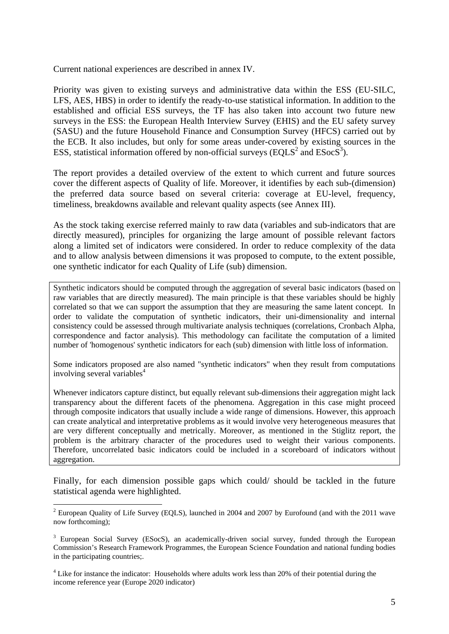Current national experiences are described in annex IV.

Priority was given to existing surveys and administrative data within the ESS (EU-SILC, LFS, AES, HBS) in order to identify the ready-to-use statistical information. In addition to the established and official ESS surveys, the TF has also taken into account two future new surveys in the ESS: the European Health Interview Survey (EHIS) and the EU safety survey (SASU) and the future Household Finance and Consumption Survey (HFCS) carried out by the ECB. It also includes, but only for some areas under-covered by existing sources in the ESS, statistical information offered by non-official surveys (EQLS<sup>2</sup> and ESocS<sup>3</sup>).

The report provides a detailed overview of the extent to which current and future sources cover the different aspects of Quality of life. Moreover, it identifies by each sub-(dimension) the preferred data source based on several criteria: coverage at EU-level, frequency, timeliness, breakdowns available and relevant quality aspects (see Annex III).

As the stock taking exercise referred mainly to raw data (variables and sub-indicators that are directly measured), principles for organizing the large amount of possible relevant factors along a limited set of indicators were considered. In order to reduce complexity of the data and to allow analysis between dimensions it was proposed to compute, to the extent possible, one synthetic indicator for each Quality of Life (sub) dimension.

Synthetic indicators should be computed through the aggregation of several basic indicators (based on raw variables that are directly measured). The main principle is that these variables should be highly correlated so that we can support the assumption that they are measuring the same latent concept. In order to validate the computation of synthetic indicators, their uni-dimensionality and internal consistency could be assessed through multivariate analysis techniques (correlations, Cronbach Alpha, correspondence and factor analysis). This methodology can facilitate the computation of a limited number of 'homogenous' synthetic indicators for each (sub) dimension with little loss of information.

Some indicators proposed are also named "synthetic indicators" when they result from computations involving several variables<sup>4</sup>

Whenever indicators capture distinct, but equally relevant sub-dimensions their aggregation might lack transparency about the different facets of the phenomena. Aggregation in this case might proceed through composite indicators that usually include a wide range of dimensions. However, this approach can create analytical and interpretative problems as it would involve very heterogeneous measures that are very different conceptually and metrically. Moreover, as mentioned in the Stiglitz report, the problem is the arbitrary character of the procedures used to weight their various components. Therefore, uncorrelated basic indicators could be included in a scoreboard of indicators without aggregation.

Finally, for each dimension possible gaps which could/ should be tackled in the future statistical agenda were highlighted.

<sup>&</sup>lt;sup>2</sup> European Quality of Life Survey (EQLS), launched in 2004 and 2007 by Eurofound (and with the 2011 wave now forthcoming);

<sup>&</sup>lt;sup>3</sup> European Social Survey (ESocS), an academically-driven social survey, funded through the European Commission's Research Framework Programmes, the European Science Foundation and national funding bodies in the participating countries;.

<sup>&</sup>lt;sup>4</sup> Like for instance the indicator: Households where adults work less than 20% of their potential during the income reference year (Europe 2020 indicator)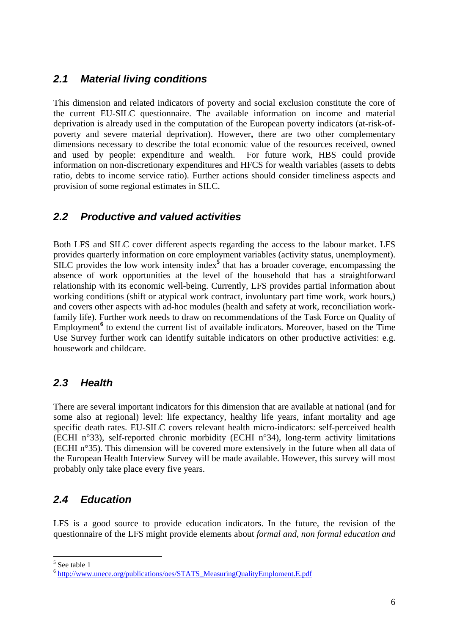#### <span id="page-5-0"></span>*2.1 Material living conditions*

This dimension and related indicators of poverty and social exclusion constitute the core of the current EU-SILC questionnaire. The available information on income and material deprivation is already used in the computation of the European poverty indicators (at-risk-ofpoverty and severe material deprivation). However**,** there are two other complementary dimensions necessary to describe the total economic value of the resources received, owned and used by people: expenditure and wealth. For future work, HBS could provide information on non-discretionary expenditures and HFCS for wealth variables (assets to debts ratio, debts to income service ratio). Further actions should consider timeliness aspects and provision of some regional estimates in SILC.

#### <span id="page-5-1"></span>*2.2 Productive and valued activities*

Both LFS and SILC cover different aspects regarding the access to the labour market. LFS provides quarterly information on core employment variables (activity status, unemployment). SILC provides the low work intensity index<sup>5</sup> that has a broader coverage, encompassing the absence of work opportunities at the level of the household that has a straightforward relationship with its economic well-being. Currently, LFS provides partial information about working conditions (shift or atypical work contract, involuntary part time work, work hours,) and covers other aspects with ad-hoc modules (health and safety at work, reconciliation workfamily life). Further work needs to draw on recommendations of the Task Force on Quality of Employment<sup>6</sup> to extend the current list of available indicators. Moreover, based on the Time Use Survey further work can identify suitable indicators on other productive activities: e.g. housework and childcare.

#### <span id="page-5-2"></span>*2.3 Health*

There are several important indicators for this dimension that are available at national (and for some also at regional) level: life expectancy, healthy life years, infant mortality and age specific death rates. EU-SILC covers relevant health micro-indicators: self-perceived health (ECHI n°33), self-reported chronic morbidity (ECHI n°34), long-term activity limitations (ECHI n°35). This dimension will be covered more extensively in the future when all data of the European Health Interview Survey will be made available. However, this survey will most probably only take place every five years.

#### <span id="page-5-3"></span>*2.4 Education*

LFS is a good source to provide education indicators. In the future, the revision of the questionnaire of the LFS might provide elements about *formal and, non formal education and* 

 5 See table 1

<sup>6</sup> [http://www.unece.org/publications/oes/STATS\\_MeasuringQualityEmploment.E.pdf](http://www.unece.org/publications/oes/STATS_MeasuringQualityEmploment.E.pdf)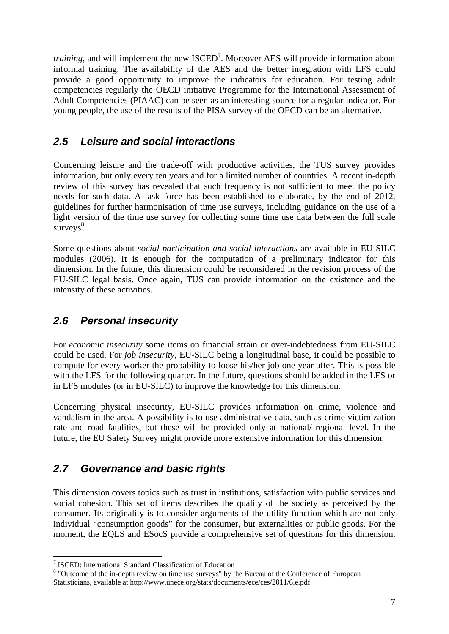*training*, and will implement the new ISCED<sup>7</sup>. Moreover AES will provide information about informal training. The availability of the AES and the better integration with LFS could provide a good opportunity to improve the indicators for education. For testing adult competencies regularly the OECD initiative Programme for the International Assessment of Adult Competencies (PIAAC) can be seen as an interesting source for a regular indicator. For young people, the use of the results of the PISA survey of the OECD can be an alternative.

#### <span id="page-6-0"></span>*2.5 Leisure and social interactions*

Concerning leisure and the trade-off with productive activities, the TUS survey provides information, but only every ten years and for a limited number of countries. A recent in-depth review of this survey has revealed that such frequency is not sufficient to meet the policy needs for such data. A task force has been established to elaborate, by the end of 2012, guidelines for further harmonisation of time use surveys, including guidance on the use of a light version of the time use survey for collecting some time use data between the full scale  $s$ urveys $\frac{8}{3}$ .

Some questions about *social participation and social interactions* are available in EU-SILC modules (2006). It is enough for the computation of a preliminary indicator for this dimension. In the future, this dimension could be reconsidered in the revision process of the EU-SILC legal basis. Once again, TUS can provide information on the existence and the intensity of these activities.

#### <span id="page-6-1"></span>*2.6 Personal insecurity*

For *economic insecurity* some items on financial strain or over-indebtedness from EU-SILC could be used. For *job insecurity,* EU-SILC being a longitudinal base, it could be possible to compute for every worker the probability to loose his/her job one year after. This is possible with the LFS for the following quarter. In the future, questions should be added in the LFS or in LFS modules (or in EU-SILC) to improve the knowledge for this dimension.

Concerning physical insecurity, EU-SILC provides information on crime, violence and vandalism in the area. A possibility is to use administrative data, such as crime victimization rate and road fatalities, but these will be provided only at national/ regional level. In the future, the EU Safety Survey might provide more extensive information for this dimension.

#### <span id="page-6-2"></span>*2.7 Governance and basic rights*

This dimension covers topics such as trust in institutions, satisfaction with public services and social cohesion. This set of items describes the quality of the society as perceived by the consumer. Its originality is to consider arguments of the utility function which are not only individual "consumption goods" for the consumer, but externalities or public goods. For the moment, the EQLS and ESocS provide a comprehensive set of questions for this dimension.

<sup>7</sup> ISCED: International Standard Classification of Education

<sup>&</sup>lt;sup>8</sup> "Outcome of the in-depth review on time use surveys" by the Bureau of the Conference of European Statisticians, available at http://www.unece.org/stats/documents/ece/ces/2011/6.e.pdf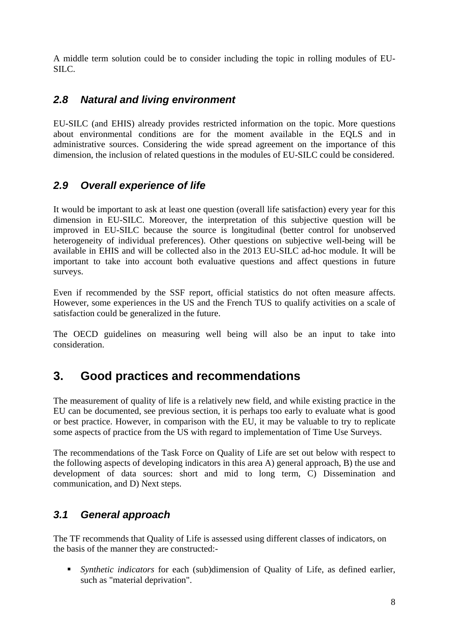A middle term solution could be to consider including the topic in rolling modules of EU-SILC.

#### <span id="page-7-0"></span>*2.8 Natural and living environment*

EU-SILC (and EHIS) already provides restricted information on the topic. More questions about environmental conditions are for the moment available in the EQLS and in administrative sources. Considering the wide spread agreement on the importance of this dimension, the inclusion of related questions in the modules of EU-SILC could be considered.

#### <span id="page-7-1"></span>*2.9 Overall experience of life*

It would be important to ask at least one question (overall life satisfaction) every year for this dimension in EU-SILC. Moreover, the interpretation of this subjective question will be improved in EU-SILC because the source is longitudinal (better control for unobserved heterogeneity of individual preferences). Other questions on subjective well-being will be available in EHIS and will be collected also in the 2013 EU-SILC ad-hoc module. It will be important to take into account both evaluative questions and affect questions in future surveys.

Even if recommended by the SSF report, official statistics do not often measure affects. However, some experiences in the US and the French TUS to qualify activities on a scale of satisfaction could be generalized in the future.

The OECD guidelines on measuring well being will also be an input to take into consideration.

### <span id="page-7-2"></span>**3. Good practices and recommendations**

The measurement of quality of life is a relatively new field, and while existing practice in the EU can be documented, see previous section, it is perhaps too early to evaluate what is good or best practice. However, in comparison with the EU, it may be valuable to try to replicate some aspects of practice from the US with regard to implementation of Time Use Surveys.

The recommendations of the Task Force on Quality of Life are set out below with respect to the following aspects of developing indicators in this area A) general approach, B) the use and development of data sources: short and mid to long term, C) Dissemination and communication, and D) Next steps.

#### <span id="page-7-3"></span>*3.1 General approach*

The TF recommends that Quality of Life is assessed using different classes of indicators, on the basis of the manner they are constructed:-

 *Synthetic indicators* for each (sub)dimension of Quality of Life, as defined earlier, such as "material deprivation".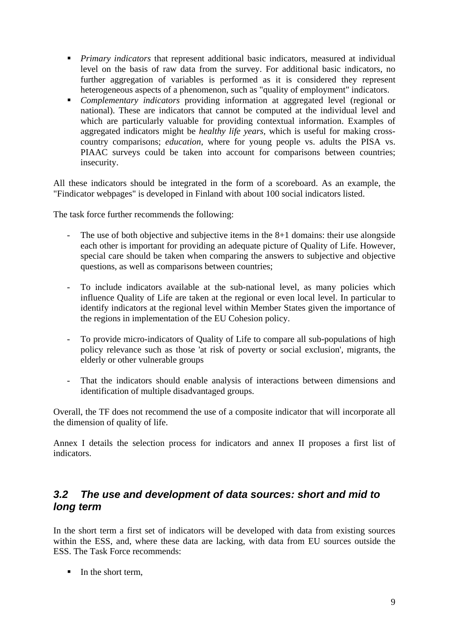- *Primary indicators* that represent additional basic indicators, measured at individual level on the basis of raw data from the survey. For additional basic indicators, no further aggregation of variables is performed as it is considered they represent heterogeneous aspects of a phenomenon, such as "quality of employment" indicators.
- *Complementary indicators* providing information at aggregated level (regional or national). These are indicators that cannot be computed at the individual level and which are particularly valuable for providing contextual information. Examples of aggregated indicators might be *healthy life years,* which is useful for making crosscountry comparisons; *education,* where for young people vs. adults the PISA vs. PIAAC surveys could be taken into account for comparisons between countries; insecurity.

All these indicators should be integrated in the form of a scoreboard. As an example, the "Findicator webpages" is developed in Finland with about 100 social indicators listed.

The task force further recommends the following:

- The use of both objective and subjective items in the  $8+1$  domains: their use alongside each other is important for providing an adequate picture of Quality of Life. However, special care should be taken when comparing the answers to subjective and objective questions, as well as comparisons between countries;
- To include indicators available at the sub-national level, as many policies which influence Quality of Life are taken at the regional or even local level. In particular to identify indicators at the regional level within Member States given the importance of the regions in implementation of the EU Cohesion policy.
- To provide micro-indicators of Quality of Life to compare all sub-populations of high policy relevance such as those 'at risk of poverty or social exclusion', migrants, the elderly or other vulnerable groups
- That the indicators should enable analysis of interactions between dimensions and identification of multiple disadvantaged groups.

Overall, the TF does not recommend the use of a composite indicator that will incorporate all the dimension of quality of life.

Annex I details the selection process for indicators and annex II proposes a first list of indicators.

#### <span id="page-8-0"></span>*3.2 The use and development of data sources: short and mid to long term*

In the short term a first set of indicators will be developed with data from existing sources within the ESS, and, where these data are lacking, with data from EU sources outside the ESS. The Task Force recommends:

In the short term,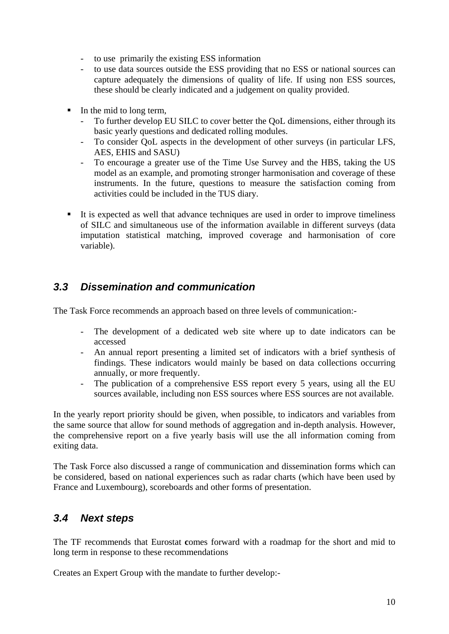- to use primarily the existing ESS information
- to use data sources outside the ESS providing that no ESS or national sources can capture adequately the dimensions of quality of life. If using non ESS sources, these should be clearly indicated and a judgement on quality provided.
- In the mid to long term,
	- To further develop EU SILC to cover better the QoL dimensions, either through its basic yearly questions and dedicated rolling modules.
	- To consider QoL aspects in the development of other surveys (in particular LFS, AES, EHIS and SASU)
	- To encourage a greater use of the Time Use Survey and the HBS, taking the US model as an example, and promoting stronger harmonisation and coverage of these instruments. In the future, questions to measure the satisfaction coming from activities could be included in the TUS diary.
- It is expected as well that advance techniques are used in order to improve timeliness of SILC and simultaneous use of the information available in different surveys (data imputation statistical matching, improved coverage and harmonisation of core variable).

#### <span id="page-9-0"></span>*3.3 Dissemination and communication*

The Task Force recommends an approach based on three levels of communication:-

- The development of a dedicated web site where up to date indicators can be accessed
- An annual report presenting a limited set of indicators with a brief synthesis of findings. These indicators would mainly be based on data collections occurring annually, or more frequently.
- The publication of a comprehensive ESS report every 5 years, using all the EU sources available, including non ESS sources where ESS sources are not available.

In the yearly report priority should be given, when possible, to indicators and variables from the same source that allow for sound methods of aggregation and in-depth analysis. However, the comprehensive report on a five yearly basis will use the all information coming from exiting data.

The Task Force also discussed a range of communication and dissemination forms which can be considered, based on national experiences such as radar charts (which have been used by France and Luxembourg), scoreboards and other forms of presentation.

#### <span id="page-9-1"></span>*3.4 Next steps*

The TF recommends that Eurostat **c**omes forward with a roadmap for the short and mid to long term in response to these recommendations

Creates an Expert Group with the mandate to further develop:-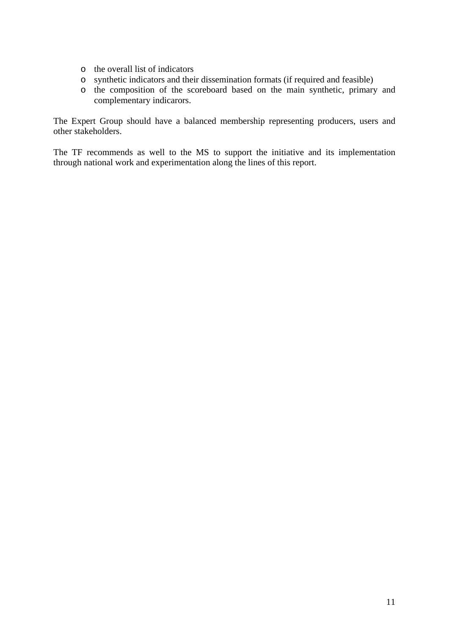- o the overall list of indicators
- o synthetic indicators and their dissemination formats (if required and feasible)
- o the composition of the scoreboard based on the main synthetic, primary and complementary indicarors.

The Expert Group should have a balanced membership representing producers, users and other stakeholders.

The TF recommends as well to the MS to support the initiative and its implementation through national work and experimentation along the lines of this report.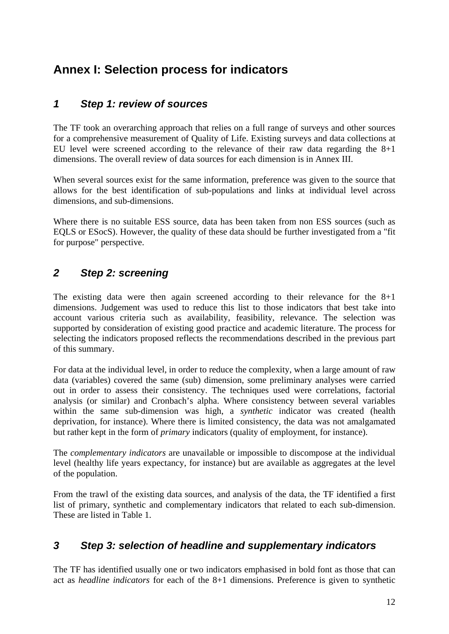## <span id="page-11-0"></span>**Annex I: Selection process for indicators**

#### <span id="page-11-1"></span>*1 Step 1: review of sources*

The TF took an overarching approach that relies on a full range of surveys and other sources for a comprehensive measurement of Quality of Life. Existing surveys and data collections at EU level were screened according to the relevance of their raw data regarding the  $8+1$ dimensions. The overall review of data sources for each dimension is in Annex III.

When several sources exist for the same information, preference was given to the source that allows for the best identification of sub-populations and links at individual level across dimensions, and sub-dimensions.

Where there is no suitable ESS source, data has been taken from non ESS sources (such as EQLS or ESocS). However, the quality of these data should be further investigated from a "fit for purpose" perspective.

#### <span id="page-11-2"></span>*2 Step 2: screening*

The existing data were then again screened according to their relevance for the 8+1 dimensions. Judgement was used to reduce this list to those indicators that best take into account various criteria such as availability, feasibility, relevance. The selection was supported by consideration of existing good practice and academic literature. The process for selecting the indicators proposed reflects the recommendations described in the previous part of this summary.

For data at the individual level, in order to reduce the complexity, when a large amount of raw data (variables) covered the same (sub) dimension, some preliminary analyses were carried out in order to assess their consistency. The techniques used were correlations, factorial analysis (or similar) and Cronbach's alpha. Where consistency between several variables within the same sub-dimension was high, a *synthetic* indicator was created (health deprivation, for instance). Where there is limited consistency, the data was not amalgamated but rather kept in the form of *primary* indicators (quality of employment, for instance).

The *complementary indicators* are unavailable or impossible to discompose at the individual level (healthy life years expectancy, for instance) but are available as aggregates at the level of the population.

From the trawl of the existing data sources, and analysis of the data, the TF identified a first list of primary, synthetic and complementary indicators that related to each sub-dimension. These are listed in Table 1.

#### <span id="page-11-3"></span>*3 Step 3: selection of headline and supplementary indicators*

The TF has identified usually one or two indicators emphasised in bold font as those that can act as *headline indicators* for each of the 8+1 dimensions. Preference is given to synthetic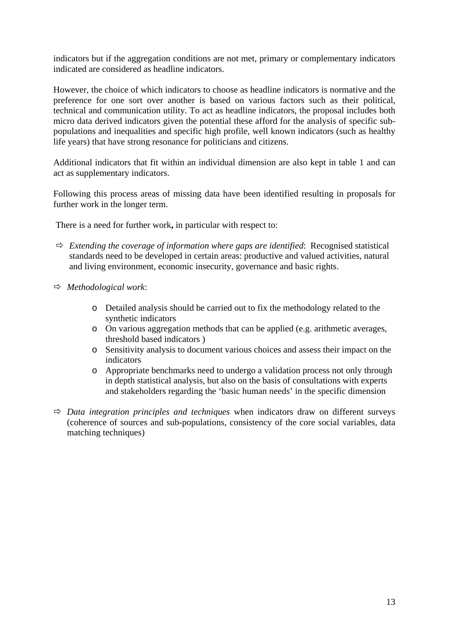indicators but if the aggregation conditions are not met, primary or complementary indicators indicated are considered as headline indicators.

However, the choice of which indicators to choose as headline indicators is normative and the preference for one sort over another is based on various factors such as their political, technical and communication utility. To act as headline indicators, the proposal includes both micro data derived indicators given the potential these afford for the analysis of specific subpopulations and inequalities and specific high profile, well known indicators (such as healthy life years) that have strong resonance for politicians and citizens.

Additional indicators that fit within an individual dimension are also kept in table 1 and can act as supplementary indicators.

Following this process areas of missing data have been identified resulting in proposals for further work in the longer term.

There is a need for further work**,** in particular with respect to:

- $\Rightarrow$  *Extending the coverage of information where gaps are identified:* Recognised statistical standards need to be developed in certain areas: productive and valued activities, natural and living environment, economic insecurity, governance and basic rights.
- Ö *Methodological work*:
	- o Detailed analysis should be carried out to fix the methodology related to the synthetic indicators
	- o On various aggregation methods that can be applied (e.g. arithmetic averages, threshold based indicators )
	- o Sensitivity analysis to document various choices and assess their impact on the indicators
	- o Appropriate benchmarks need to undergo a validation process not only through in depth statistical analysis, but also on the basis of consultations with experts and stakeholders regarding the 'basic human needs' in the specific dimension
- $\Rightarrow$  *Data integration principles and techniques* when indicators draw on different surveys (coherence of sources and sub-populations, consistency of the core social variables, data matching techniques)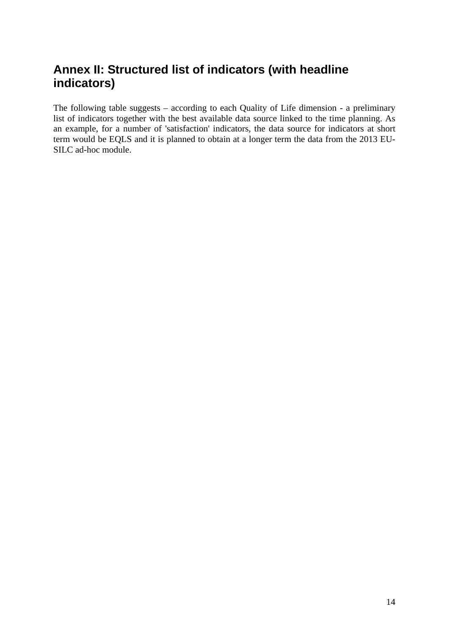## <span id="page-13-0"></span>**Annex II: Structured list of indicators (with headline indicators)**

The following table suggests – according to each Quality of Life dimension - a preliminary list of indicators together with the best available data source linked to the time planning. As an example, for a number of 'satisfaction' indicators, the data source for indicators at short term would be EQLS and it is planned to obtain at a longer term the data from the 2013 EU-SILC ad-hoc module.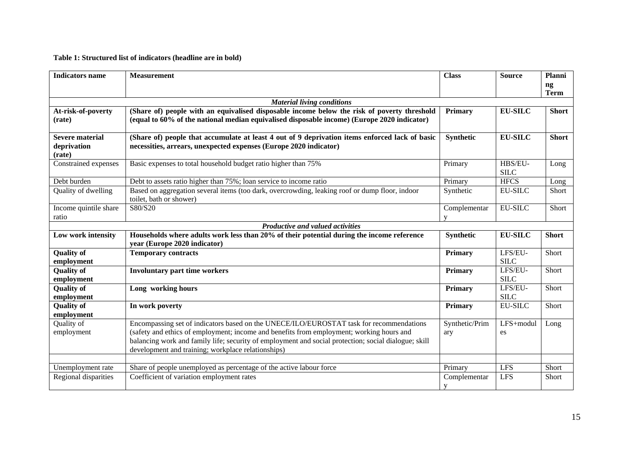#### **Table 1: Structured list of indicators (headline are in bold)**

| <b>Indicators name</b>                          | <b>Measurement</b>                                                                                                                                                                                                                                                                                                                                | <b>Class</b>                 | <b>Source</b>          | Planni<br>$\mathbf{ng}$<br><b>Term</b> |
|-------------------------------------------------|---------------------------------------------------------------------------------------------------------------------------------------------------------------------------------------------------------------------------------------------------------------------------------------------------------------------------------------------------|------------------------------|------------------------|----------------------------------------|
|                                                 | <b>Material living conditions</b>                                                                                                                                                                                                                                                                                                                 |                              |                        |                                        |
| At-risk-of-poverty<br>(rate)                    | (Share of) people with an equivalised disposable income below the risk of poverty threshold<br>(equal to 60% of the national median equivalised disposable income) (Europe 2020 indicator)                                                                                                                                                        | Primary                      | <b>EU-SILC</b>         | <b>Short</b>                           |
| <b>Severe material</b><br>deprivation<br>(rate) | (Share of) people that accumulate at least 4 out of 9 deprivation items enforced lack of basic<br>necessities, arrears, unexpected expenses (Europe 2020 indicator)                                                                                                                                                                               | Synthetic                    | <b>EU-SILC</b>         | <b>Short</b>                           |
| Constrained expenses                            | Basic expenses to total household budget ratio higher than 75%                                                                                                                                                                                                                                                                                    | Primary                      | HBS/EU-<br><b>SILC</b> | Long                                   |
| Debt burden                                     | Debt to assets ratio higher than 75%; loan service to income ratio                                                                                                                                                                                                                                                                                | Primary                      | <b>HFCS</b>            | Long                                   |
| Quality of dwelling                             | Based on aggregation several items (too dark, overcrowding, leaking roof or dump floor, indoor<br>toilet, bath or shower)                                                                                                                                                                                                                         | Synthetic                    | <b>EU-SILC</b>         | Short                                  |
| Income quintile share<br>ratio                  | S80/S20                                                                                                                                                                                                                                                                                                                                           | Complementar<br>$\mathbf{V}$ | <b>EU-SILC</b>         | Short                                  |
|                                                 | Productive and valued activities                                                                                                                                                                                                                                                                                                                  |                              |                        |                                        |
| Low work intensity                              | Households where adults work less than 20% of their potential during the income reference<br>year (Europe 2020 indicator)                                                                                                                                                                                                                         | Synthetic                    | <b>EU-SILC</b>         | <b>Short</b>                           |
| <b>Quality of</b><br>employment                 | <b>Temporary contracts</b>                                                                                                                                                                                                                                                                                                                        | Primary                      | LFS/EU-<br><b>SILC</b> | <b>Short</b>                           |
| <b>Quality of</b><br>employment                 | <b>Involuntary part time workers</b>                                                                                                                                                                                                                                                                                                              | Primary                      | LFS/EU-<br><b>SILC</b> | Short                                  |
| <b>Quality of</b><br>employment                 | Long working hours                                                                                                                                                                                                                                                                                                                                | <b>Primary</b>               | LFS/EU-<br><b>SILC</b> | Short                                  |
| <b>Quality of</b><br>employment                 | In work poverty                                                                                                                                                                                                                                                                                                                                   | Primary                      | <b>EU-SILC</b>         | Short                                  |
| Quality of<br>employment                        | Encompassing set of indicators based on the UNECE/ILO/EUROSTAT task for recommendations<br>(safety and ethics of employment; income and benefits from employment; working hours and<br>balancing work and family life; security of employment and social protection; social dialogue; skill<br>development and training; workplace relationships) | Synthetic/Prim<br>ary        | LFS+modul<br>es        | Long                                   |
| Unemployment rate                               | Share of people unemployed as percentage of the active labour force                                                                                                                                                                                                                                                                               | Primary                      | <b>LFS</b>             | Short                                  |
| Regional disparities                            | Coefficient of variation employment rates                                                                                                                                                                                                                                                                                                         | Complementar<br>y            | <b>LFS</b>             | Short                                  |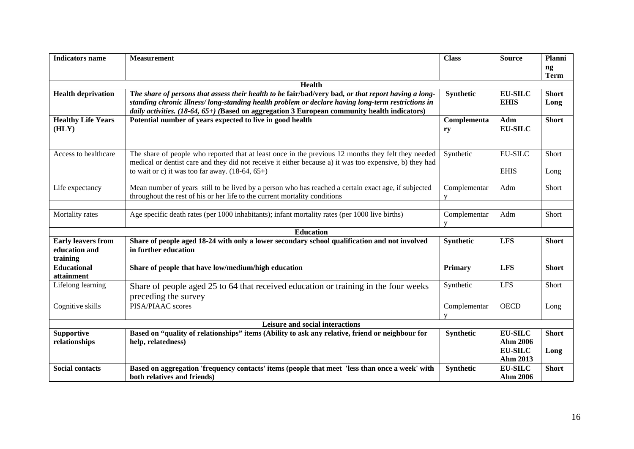| <b>Indicators name</b>                                 | <b>Measurement</b>                                                                                                                                                                                                                                                                                        | <b>Class</b>      | <b>Source</b>                                            | Planni<br>$\mathbf{ng}$<br><b>Term</b> |  |
|--------------------------------------------------------|-----------------------------------------------------------------------------------------------------------------------------------------------------------------------------------------------------------------------------------------------------------------------------------------------------------|-------------------|----------------------------------------------------------|----------------------------------------|--|
|                                                        | <b>Health</b>                                                                                                                                                                                                                                                                                             |                   |                                                          |                                        |  |
| <b>Health deprivation</b>                              | The share of persons that assess their health to be fair/bad/very bad, or that report having a long-<br>standing chronic illness/long-standing health problem or declare having long-term restrictions in<br>daily activities. (18-64, 65+) (Based on aggregation 3 European community health indicators) | <b>Synthetic</b>  | <b>EU-SILC</b><br><b>EHIS</b>                            | <b>Short</b><br>Long                   |  |
| <b>Healthy Life Years</b><br>(HLY)                     | Potential number of years expected to live in good health                                                                                                                                                                                                                                                 | Complementa<br>ry | Adm<br><b>EU-SILC</b>                                    | <b>Short</b>                           |  |
| Access to healthcare                                   | The share of people who reported that at least once in the previous 12 months they felt they needed<br>medical or dentist care and they did not receive it either because a) it was too expensive, b) they had<br>to wait or c) it was too far away. $(18-64, 65+)$                                       | Synthetic         | <b>EU-SILC</b><br><b>EHIS</b>                            | Short<br>Long                          |  |
| Life expectancy                                        | Mean number of years still to be lived by a person who has reached a certain exact age, if subjected<br>throughout the rest of his or her life to the current mortality conditions                                                                                                                        | Complementar<br>V | Adm                                                      | Short                                  |  |
| Mortality rates                                        | Age specific death rates (per 1000 inhabitants); infant mortality rates (per 1000 live births)                                                                                                                                                                                                            | Complementar<br>V | Adm                                                      | Short                                  |  |
|                                                        | <b>Education</b>                                                                                                                                                                                                                                                                                          |                   |                                                          |                                        |  |
| <b>Early leavers from</b><br>education and<br>training | Share of people aged 18-24 with only a lower secondary school qualification and not involved<br>in further education                                                                                                                                                                                      | Synthetic         | <b>LFS</b>                                               | <b>Short</b>                           |  |
| <b>Educational</b><br>attainment                       | Share of people that have low/medium/high education                                                                                                                                                                                                                                                       | <b>Primary</b>    | <b>LFS</b>                                               | <b>Short</b>                           |  |
| Lifelong learning                                      | Share of people aged 25 to 64 that received education or training in the four weeks<br>preceding the survey                                                                                                                                                                                               | Synthetic         | <b>LFS</b>                                               | Short                                  |  |
| Cognitive skills                                       | PISA/PIAAC scores                                                                                                                                                                                                                                                                                         | Complementar<br>V | <b>OECD</b>                                              | Long                                   |  |
|                                                        | Leisure and social interactions                                                                                                                                                                                                                                                                           |                   |                                                          |                                        |  |
| <b>Supportive</b><br>relationships                     | Based on "quality of relationships" items (Ability to ask any relative, friend or neighbour for<br>help, relatedness)                                                                                                                                                                                     | Synthetic         | <b>EU-SILC</b><br>Ahm 2006<br><b>EU-SILC</b><br>Ahm 2013 | <b>Short</b><br>Long                   |  |
| <b>Social contacts</b>                                 | Based on aggregation 'frequency contacts' items (people that meet 'less than once a week' with<br>both relatives and friends)                                                                                                                                                                             | Synthetic         | <b>EU-SILC</b><br><b>Ahm 2006</b>                        | <b>Short</b>                           |  |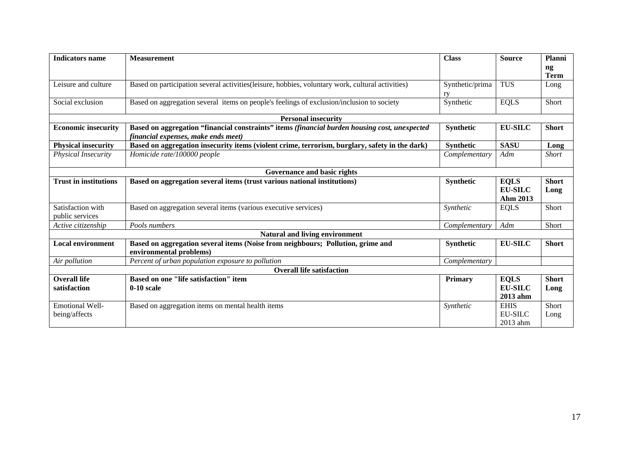| <b>Indicators name</b>               | <b>Measurement</b>                                                                                                                   | <b>Class</b>          | <b>Source</b>                             | Planni<br>ng         |
|--------------------------------------|--------------------------------------------------------------------------------------------------------------------------------------|-----------------------|-------------------------------------------|----------------------|
|                                      |                                                                                                                                      |                       |                                           | <b>Term</b>          |
| Leisure and culture                  | Based on participation several activities(leisure, hobbies, voluntary work, cultural activities)                                     | Synthetic/prima<br>rv | <b>TUS</b>                                | Long                 |
| Social exclusion                     | Based on aggregation several items on people's feelings of exclusion/inclusion to society                                            | Synthetic             | <b>EQLS</b>                               | Short                |
|                                      | <b>Personal insecurity</b>                                                                                                           |                       |                                           |                      |
| <b>Economic insecurity</b>           | Based on aggregation "financial constraints" items (financial burden housing cost, unexpected<br>financial expenses, make ends meet) | <b>Synthetic</b>      | <b>EU-SILC</b>                            | <b>Short</b>         |
| <b>Physical insecurity</b>           | Based on aggregation insecurity items (violent crime, terrorism, burglary, safety in the dark)                                       | Synthetic             | <b>SASU</b>                               | Long                 |
| Physical Insecurity                  | Homicide rate/100000 people                                                                                                          | Complementary         | Adm                                       | <b>Short</b>         |
|                                      | Governance and basic rights                                                                                                          |                       |                                           |                      |
| <b>Trust in institutions</b>         | Based on aggregation several items (trust various national institutions)                                                             | Synthetic             | <b>EQLS</b><br><b>EU-SILC</b><br>Ahm 2013 | <b>Short</b><br>Long |
| Satisfaction with<br>public services | Based on aggregation several items (various executive services)                                                                      | Synthetic             | <b>EQLS</b>                               | Short                |
| Active citizenship                   | Pools numbers                                                                                                                        | Complementary         | Adm                                       | Short                |
|                                      | Natural and living environment                                                                                                       |                       |                                           |                      |
| <b>Local environment</b>             | Based on aggregation several items (Noise from neighbours; Pollution, grime and<br>environmental problems)                           | Synthetic             | <b>EU-SILC</b>                            | <b>Short</b>         |
| Air pollution                        | Percent of urban population exposure to pollution                                                                                    | Complementary         |                                           |                      |
|                                      | <b>Overall life satisfaction</b>                                                                                                     |                       |                                           |                      |
| <b>Overall life</b><br>satisfaction  | <b>Based on one "life satisfaction" item</b><br>$0-10$ scale                                                                         | Primary               | <b>EQLS</b><br><b>EU-SILC</b><br>2013 ahm | <b>Short</b><br>Long |
| Emotional Well-<br>being/affects     | Based on aggregation items on mental health items                                                                                    | Synthetic             | <b>EHIS</b><br><b>EU-SILC</b><br>2013 ahm | Short<br>Long        |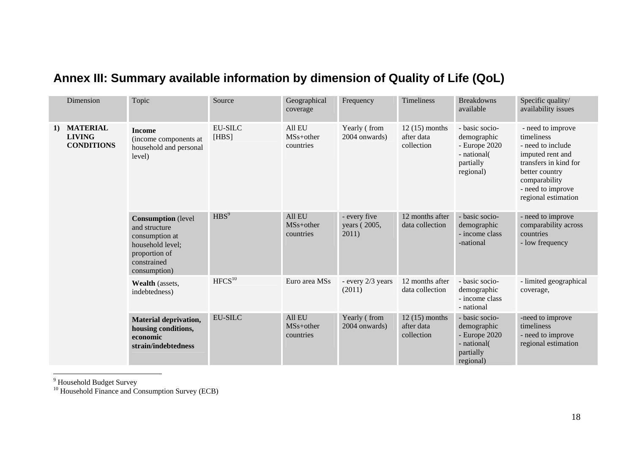|                                                             | Dimension                                                                                                                        | Topic                                                                                  | Source                                       | Geographical<br>coverage                     | Frequency                          | Timeliness                                                   | <b>Breakdowns</b><br>available                                                           | Specific quality/<br>availability issues                                                                                                                                         |
|-------------------------------------------------------------|----------------------------------------------------------------------------------------------------------------------------------|----------------------------------------------------------------------------------------|----------------------------------------------|----------------------------------------------|------------------------------------|--------------------------------------------------------------|------------------------------------------------------------------------------------------|----------------------------------------------------------------------------------------------------------------------------------------------------------------------------------|
| <b>MATERIAL</b><br>1)<br><b>LIVING</b><br><b>CONDITIONS</b> |                                                                                                                                  | <b>Income</b><br>(income components at<br>household and personal<br>level)             | <b>EU-SILC</b><br>[HBS]                      | All EU<br>$MSs+other$<br>countries           | Yearly (from<br>2004 onwards)      | $12(15)$ months<br>after data<br>collection                  | - basic socio-<br>demographic<br>- Europe 2020<br>- national(<br>partially<br>regional)  | - need to improve<br>timeliness<br>- need to include<br>imputed rent and<br>transfers in kind for<br>better country<br>comparability<br>- need to improve<br>regional estimation |
|                                                             | <b>Consumption</b> (level<br>and structure<br>consumption at<br>household level;<br>proportion of<br>constrained<br>consumption) | HBS <sup>9</sup>                                                                       | All EU<br>MS <sub>s+other</sub><br>countries | - every five<br>years (2005,<br>2011)        | 12 months after<br>data collection | - basic socio-<br>demographic<br>- income class<br>-national | - need to improve<br>comparability across<br>countries<br>- low frequency                |                                                                                                                                                                                  |
|                                                             |                                                                                                                                  | Wealth (assets,<br>indebtedness)                                                       | HFCS <sup>10</sup>                           | Euro area MSs                                | - every 2/3 years<br>(2011)        | 12 months after<br>data collection                           | - basic socio-<br>demographic<br>- income class<br>- national                            | - limited geographical<br>coverage,                                                                                                                                              |
|                                                             |                                                                                                                                  | <b>Material deprivation,</b><br>housing conditions,<br>economic<br>strain/indebtedness | <b>EU-SILC</b>                               | All EU<br>MS <sub>s+other</sub><br>countries | Yearly (from<br>2004 onwards)      | $12(15)$ months<br>after data<br>collection                  | - basic socio-<br>demographic<br>$-$ Europe 2020<br>- national<br>partially<br>regional) | -need to improve<br>timeliness<br>- need to improve<br>regional estimation                                                                                                       |

# **Annex III: Summary available information by dimension of Quality of Life (QoL)**

<sup>9</sup> Household Budget Survey

<span id="page-17-0"></span> $10$  Household Finance and Consumption Survey (ECB)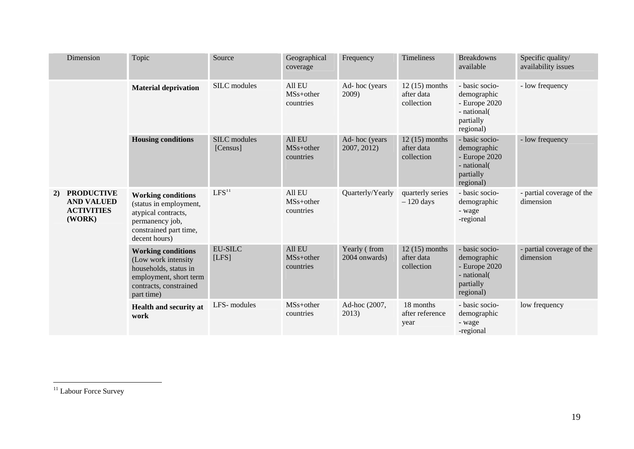|    | Dimension                                                             | Topic                                                                                                                                       | Source                          | Geographical<br>coverage                     | Frequency                     | Timeliness                                  | <b>Breakdowns</b><br>available                                                            | Specific quality/<br>availability issues |
|----|-----------------------------------------------------------------------|---------------------------------------------------------------------------------------------------------------------------------------------|---------------------------------|----------------------------------------------|-------------------------------|---------------------------------------------|-------------------------------------------------------------------------------------------|------------------------------------------|
|    |                                                                       | <b>Material deprivation</b>                                                                                                                 | SILC modules                    | All EU<br>$MSs+other$<br>countries           | Ad-hoc (years<br>2009)        | $12(15)$ months<br>after data<br>collection | - basic socio-<br>demographic<br>$-$ Europe 2020<br>- national(<br>partially<br>regional) | - low frequency                          |
|    |                                                                       | <b>Housing conditions</b>                                                                                                                   | <b>SILC</b> modules<br>[Census] | All EU<br>$MSs+other$<br>countries           | Ad-hoc (years<br>2007, 2012)  | $12(15)$ months<br>after data<br>collection | - basic socio-<br>demographic<br>- Europe 2020<br>- national(<br>partially<br>regional)   | - low frequency                          |
| 2) | <b>PRODUCTIVE</b><br><b>AND VALUED</b><br><b>ACTIVITIES</b><br>(WORK) | <b>Working conditions</b><br>(status in employment,<br>atypical contracts,<br>permanency job,<br>constrained part time,<br>decent hours)    | LFS <sup>11</sup>               | All EU<br>MS <sub>s+other</sub><br>countries | Quarterly/Yearly              | quarterly series<br>$-120$ days             | - basic socio-<br>demographic<br>- wage<br>-regional                                      | - partial coverage of the<br>dimension   |
|    |                                                                       | <b>Working conditions</b><br>(Low work intensity<br>households, status in<br>employment, short term<br>contracts, constrained<br>part time) | <b>EU-SILC</b><br>[LFS]         | All EU<br>$MSs+other$<br>countries           | Yearly (from<br>2004 onwards) | $12(15)$ months<br>after data<br>collection | - basic socio-<br>demographic<br>- Europe 2020<br>- national(<br>partially<br>regional)   | - partial coverage of the<br>dimension   |
|    |                                                                       | Health and security at<br>work                                                                                                              | LFS-modules                     | $MSs+other$<br>countries                     | Ad-hoc (2007,<br>2013)        | 18 months<br>after reference<br>year        | - basic socio-<br>demographic<br>- wage<br>-regional                                      | low frequency                            |

<sup>&</sup>lt;sup>11</sup> Labour Force Survey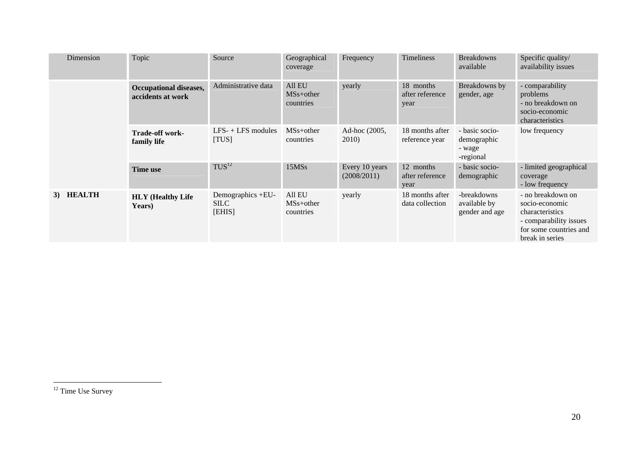| Dimension           | Topic                                              | Source                                     | Geographical<br>coverage                     | Frequency                     | Timeliness                           | <b>Breakdowns</b><br>available                       | Specific quality/<br>availability issues                                                                                      |
|---------------------|----------------------------------------------------|--------------------------------------------|----------------------------------------------|-------------------------------|--------------------------------------|------------------------------------------------------|-------------------------------------------------------------------------------------------------------------------------------|
|                     | <b>Occupational diseases,</b><br>accidents at work | Administrative data                        | All EU<br>MS <sub>s+other</sub><br>countries | yearly                        | 18 months<br>after reference<br>year | Breakdowns by<br>gender, age                         | - comparability<br>problems<br>- no breakdown on<br>socio-economic<br>characteristics                                         |
|                     | <b>Trade-off work-</b><br>family life              | $LFS-+LFS$ modules<br>[TUS]                | MS <sub>s+other</sub><br>countries           | Ad-hoc (2005,<br>2010)        | 18 months after<br>reference year    | - basic socio-<br>demographic<br>- wage<br>-regional | low frequency                                                                                                                 |
|                     | Time use                                           | TUS <sup>12</sup>                          | 15MSs                                        | Every 10 years<br>(2008/2011) | 12 months<br>after reference<br>year | - basic socio-<br>demographic                        | - limited geographical<br>coverage<br>- low frequency                                                                         |
| <b>HEALTH</b><br>3) | <b>HLY</b> (Healthy Life<br>Years)                 | Demographics +EU-<br><b>SILC</b><br>[EHIS] | All EU<br>MS <sub>s+other</sub><br>countries | yearly                        | 18 months after<br>data collection   | -breakdowns<br>available by<br>gender and age        | - no breakdown on<br>socio-economic<br>characteristics<br>- comparability issues<br>for some countries and<br>break in series |

 $\overline{12 \text{ Time Use Survey}}$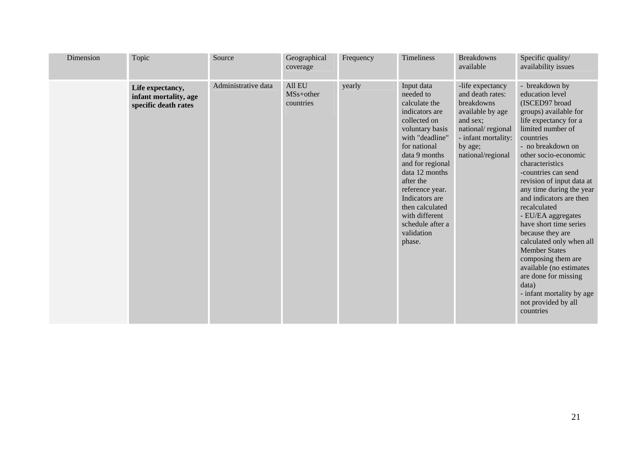| <b>Dimension</b> | Topic                                                             | Source              | Geographical<br>coverage                     | Frequency | Timeliness                                                                                                                                                                                                                                                                                                                 | <b>Breakdowns</b><br>available                                                                                                                                 | Specific quality/<br>availability issues                                                                                                                                                                                                                                                                                                                                                                                                                                                                                                                                                                      |
|------------------|-------------------------------------------------------------------|---------------------|----------------------------------------------|-----------|----------------------------------------------------------------------------------------------------------------------------------------------------------------------------------------------------------------------------------------------------------------------------------------------------------------------------|----------------------------------------------------------------------------------------------------------------------------------------------------------------|---------------------------------------------------------------------------------------------------------------------------------------------------------------------------------------------------------------------------------------------------------------------------------------------------------------------------------------------------------------------------------------------------------------------------------------------------------------------------------------------------------------------------------------------------------------------------------------------------------------|
|                  | Life expectancy,<br>infant mortality, age<br>specific death rates | Administrative data | All EU<br>MS <sub>s+other</sub><br>countries | yearly    | Input data<br>needed to<br>calculate the<br>indicators are<br>collected on<br>voluntary basis<br>with "deadline"<br>for national<br>data 9 months<br>and for regional<br>data 12 months<br>after the<br>reference year.<br>Indicators are<br>then calculated<br>with different<br>schedule after a<br>validation<br>phase. | -life expectancy<br>and death rates:<br>breakdowns<br>available by age<br>and sex;<br>national/regional<br>- infant mortality:<br>by age;<br>national/regional | - breakdown by<br>education level<br>(ISCED97 broad<br>groups) available for<br>life expectancy for a<br>limited number of<br>countries<br>- no breakdown on<br>other socio-economic<br>characteristics<br>-countries can send<br>revision of input data at<br>any time during the year<br>and indicators are then<br>recalculated<br>- EU/EA aggregates<br>have short time series<br>because they are<br>calculated only when all<br><b>Member States</b><br>composing them are<br>available (no estimates<br>are done for missing<br>data)<br>- infant mortality by age<br>not provided by all<br>countries |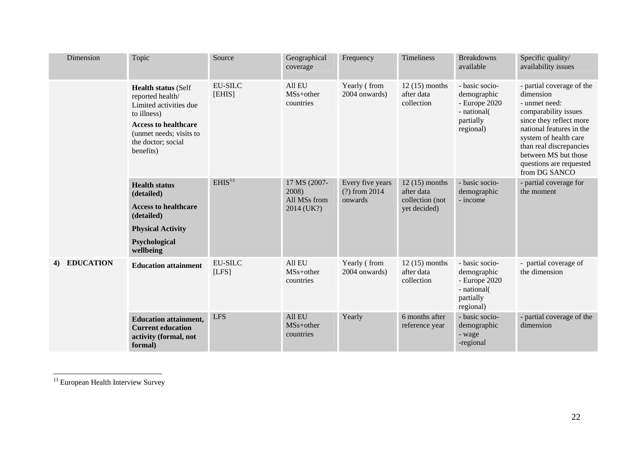| Dimension    | Topic                                                                                                                                                                                | Source                  | Geographical<br>coverage                            | Frequency                                      | <b>Timeliness</b>                                                | <b>Breakdowns</b><br>available                                                           | Specific quality/<br>availability issues                                                                                                                                                                                                                       |
|--------------|--------------------------------------------------------------------------------------------------------------------------------------------------------------------------------------|-------------------------|-----------------------------------------------------|------------------------------------------------|------------------------------------------------------------------|------------------------------------------------------------------------------------------|----------------------------------------------------------------------------------------------------------------------------------------------------------------------------------------------------------------------------------------------------------------|
|              | <b>Health status (Self</b><br>reported health/<br>Limited activities due<br>to illness)<br><b>Access to healthcare</b><br>(unmet needs; visits to<br>the doctor; social<br>benefits) | EU-SILC<br>[EHIS]       | All EU<br>$MSs+other$<br>countries                  | Yearly (from<br>2004 onwards)                  | $12(15)$ months<br>after data<br>collection                      | - basic socio-<br>demographic<br>$-$ Europe 2020<br>- national<br>partially<br>regional) | - partial coverage of the<br>dimension<br>- unmet need:<br>comparability issues<br>since they reflect more<br>national features in the<br>system of health care<br>than real discrepancies<br>between MS but those<br>questions are requested<br>from DG SANCO |
|              | <b>Health status</b><br>(detailed)<br><b>Access to healthcare</b><br>(detailed)<br><b>Physical Activity</b><br>Psychological<br>wellbeing                                            | EHIS <sup>13</sup>      | 17 MS (2007-<br>2008)<br>All MSs from<br>2014 (UK?) | Every five years<br>$(?)$ from 2014<br>onwards | $12(15)$ months<br>after data<br>collection (not<br>yet decided) | - basic socio-<br>demographic<br>- income                                                | - partial coverage for<br>the moment                                                                                                                                                                                                                           |
| 4) EDUCATION | <b>Education attainment</b>                                                                                                                                                          | <b>EU-SILC</b><br>[LFS] | All EU<br>MS <sub>s+other</sub><br>countries        | Yearly (from<br>2004 onwards)                  | $12(15)$ months<br>after data<br>collection                      | - basic socio-<br>demographic<br>- Europe 2020<br>- national<br>partially<br>regional)   | - partial coverage of<br>the dimension                                                                                                                                                                                                                         |
|              | <b>Education attainment,</b><br><b>Current education</b><br>activity (formal, not<br>formal)                                                                                         | <b>LFS</b>              | All EU<br>$MSs+other$<br>countries                  | Yearly                                         | 6 months after<br>reference year                                 | - basic socio-<br>demographic<br>- wage<br>-regional                                     | - partial coverage of the<br>dimension                                                                                                                                                                                                                         |

<sup>&</sup>lt;sup>13</sup> European Health Interview Survey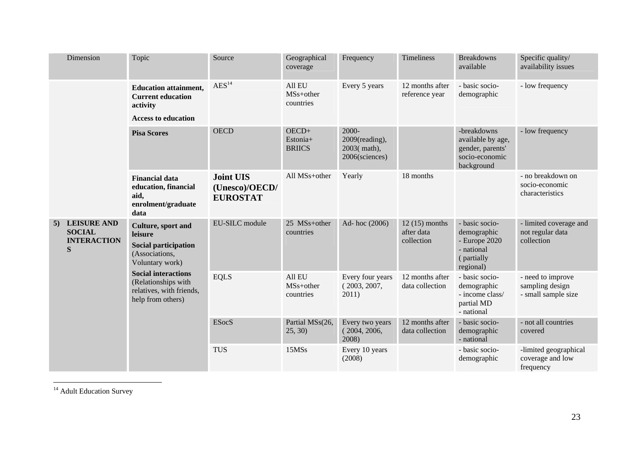| Dimension                                                  | Topic                                                                                                                                                                                                   | Source                                                | Geographical<br>coverage                     | Frequency                                                | Timeliness                                  | <b>Breakdowns</b><br>available                                                           | Specific quality/<br>availability issues                    |
|------------------------------------------------------------|---------------------------------------------------------------------------------------------------------------------------------------------------------------------------------------------------------|-------------------------------------------------------|----------------------------------------------|----------------------------------------------------------|---------------------------------------------|------------------------------------------------------------------------------------------|-------------------------------------------------------------|
|                                                            | <b>Education attainment,</b><br><b>Current education</b><br>activity<br><b>Access to education</b>                                                                                                      | $\text{AES}^{14}$                                     | All EU<br>MS <sub>s+other</sub><br>countries | Every 5 years                                            | 12 months after<br>reference year           | - basic socio-<br>demographic                                                            | - low frequency                                             |
|                                                            | <b>Pisa Scores</b>                                                                                                                                                                                      | <b>OECD</b>                                           | OECD+<br>Estonia+<br><b>BRIICS</b>           | 2000-<br>2009(reading),<br>2003(math),<br>2006(sciences) |                                             | -breakdowns<br>available by age,<br>gender, parents'<br>socio-economic<br>background     | - low frequency                                             |
|                                                            | <b>Financial data</b><br>education, financial<br>aid,<br>enrolment/graduate<br>data                                                                                                                     | <b>Joint UIS</b><br>(Unesco)/OECD/<br><b>EUROSTAT</b> | All MSs+other                                | Yearly                                                   | 18 months                                   |                                                                                          | - no breakdown on<br>socio-economic<br>characteristics      |
| 5) LEISURE AND<br><b>SOCIAL</b><br><b>INTERACTION</b><br>S | Culture, sport and<br>leisure<br><b>Social participation</b><br>(Associations,<br>Voluntary work)<br><b>Social interactions</b><br>(Relationships with<br>relatives, with friends,<br>help from others) | EU-SILC module                                        | 25 MSs+other<br>countries                    | Ad-hoc (2006)                                            | $12(15)$ months<br>after data<br>collection | - basic socio-<br>demographic<br>- Europe 2020<br>- national<br>(partially)<br>regional) | - limited coverage and<br>not regular data<br>collection    |
|                                                            |                                                                                                                                                                                                         | <b>EQLS</b>                                           | All EU<br>MS <sub>s+other</sub><br>countries | Every four years<br>(2003, 2007,<br>2011)                | 12 months after<br>data collection          | - basic socio-<br>demographic<br>- income class/<br>partial MD<br>- national             | - need to improve<br>sampling design<br>- small sample size |
|                                                            |                                                                                                                                                                                                         | <b>ESocS</b>                                          | Partial MSs(26,<br>25, 30)                   | Every two years<br>(2004, 2006,<br>2008)                 | 12 months after<br>data collection          | - basic socio-<br>demographic<br>- national                                              | - not all countries<br>covered                              |
|                                                            |                                                                                                                                                                                                         | <b>TUS</b>                                            | 15MSs                                        | Every 10 years<br>(2008)                                 |                                             | - basic socio-<br>demographic                                                            | -limited geographical<br>coverage and low<br>frequency      |

 $\frac{14}{14}$  Adult Education Survey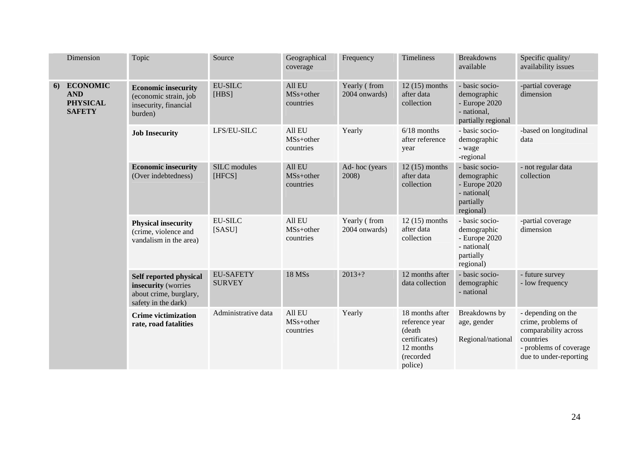|    | Dimension                                                         | Topic                                                                                          | Source                            | Geographical<br>coverage                     | Frequency                     | <b>Timeliness</b>                                                                                 | <b>Breakdowns</b><br>available                                                           | Specific quality/<br>availability issues                                                                                          |
|----|-------------------------------------------------------------------|------------------------------------------------------------------------------------------------|-----------------------------------|----------------------------------------------|-------------------------------|---------------------------------------------------------------------------------------------------|------------------------------------------------------------------------------------------|-----------------------------------------------------------------------------------------------------------------------------------|
| 6) | <b>ECONOMIC</b><br><b>AND</b><br><b>PHYSICAL</b><br><b>SAFETY</b> | <b>Economic insecurity</b><br>(economic strain, job<br>insecurity, financial<br>burden)        | <b>EU-SILC</b><br>[HBS]           | All EU<br>MS <sub>s+other</sub><br>countries | Yearly (from<br>2004 onwards) | $12(15)$ months<br>after data<br>collection                                                       | - basic socio-<br>demographic<br>- Europe 2020<br>- national,<br>partially regional      | -partial coverage<br>dimension                                                                                                    |
|    |                                                                   | <b>Job Insecurity</b>                                                                          | LFS/EU-SILC                       | All EU<br>MS <sub>s+other</sub><br>countries | Yearly                        | $6/18$ months<br>after reference<br>year                                                          | - basic socio-<br>demographic<br>- wage<br>-regional                                     | -based on longitudinal<br>data                                                                                                    |
|    |                                                                   | <b>Economic insecurity</b><br>(Over indebtedness)                                              | SILC modules<br>[HFCS]            | All EU<br>MS <sub>s+other</sub><br>countries | Ad-hoc (years<br>2008)        | $12(15)$ months<br>after data<br>collection                                                       | - basic socio-<br>demographic<br>- Europe 2020<br>- national(<br>partially<br>regional)  | - not regular data<br>collection                                                                                                  |
|    |                                                                   | <b>Physical insecurity</b><br>(crime, violence and<br>vandalism in the area)                   | <b>EU-SILC</b><br>[SASU]          | All EU<br>$MSs+other$<br>countries           | Yearly (from<br>2004 onwards) | $12(15)$ months<br>after data<br>collection                                                       | - basic socio-<br>demographic<br>$-$ Europe 2020<br>- national<br>partially<br>regional) | -partial coverage<br>dimension                                                                                                    |
|    |                                                                   | Self reported physical<br>insecurity (worries<br>about crime, burglary,<br>safety in the dark) | <b>EU-SAFETY</b><br><b>SURVEY</b> | <b>18 MSs</b>                                | $2013+?$                      | 12 months after<br>data collection                                                                | - basic socio-<br>demographic<br>- national                                              | - future survey<br>- low frequency                                                                                                |
|    |                                                                   | <b>Crime victimization</b><br>rate, road fatalities                                            | Administrative data               | All EU<br>MS <sub>s+other</sub><br>countries | Yearly                        | 18 months after<br>reference year<br>(death<br>certificates)<br>12 months<br>(recorded<br>police) | Breakdowns by<br>age, gender<br>Regional/national                                        | - depending on the<br>crime, problems of<br>comparability across<br>countries<br>- problems of coverage<br>due to under-reporting |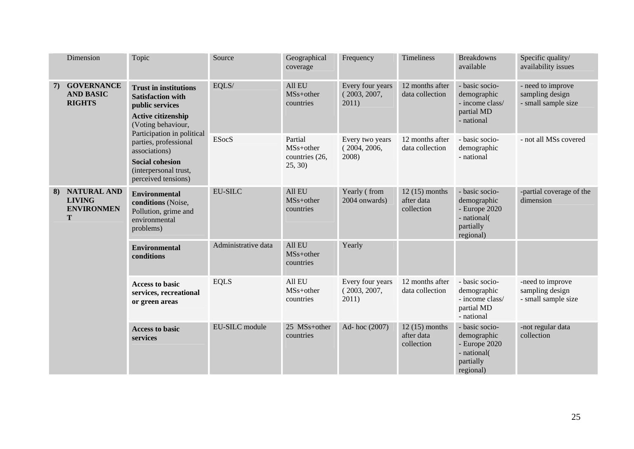|    | Dimension                                                     | Topic                                                                                                                                                                                                                                                                     | Source              | Geographical<br>coverage                                      | Frequency                                 | Timeliness                                  | <b>Breakdowns</b><br>available                                                           | Specific quality/<br>availability issues                    |
|----|---------------------------------------------------------------|---------------------------------------------------------------------------------------------------------------------------------------------------------------------------------------------------------------------------------------------------------------------------|---------------------|---------------------------------------------------------------|-------------------------------------------|---------------------------------------------|------------------------------------------------------------------------------------------|-------------------------------------------------------------|
| 7) | <b>GOVERNANCE</b><br><b>AND BASIC</b><br><b>RIGHTS</b>        | <b>Trust in institutions</b><br><b>Satisfaction with</b><br>public services<br>Active citizenship<br>(Voting behaviour,<br>Participation in political<br>parties, professional<br>associations)<br><b>Social cohesion</b><br>(interpersonal trust,<br>perceived tensions) | EQLS/               | All EU<br>MS <sub>s+other</sub><br>countries                  | Every four years<br>(2003, 2007,<br>2011) | 12 months after<br>data collection          | - basic socio-<br>demographic<br>- income class/<br>partial MD<br>- national             | - need to improve<br>sampling design<br>- small sample size |
|    |                                                               |                                                                                                                                                                                                                                                                           | <b>ESocS</b>        | Partial<br>MS <sub>s+other</sub><br>countries (26,<br>25, 30) | Every two years<br>(2004, 2006,<br>2008)  | 12 months after<br>data collection          | - basic socio-<br>demographic<br>- national                                              | - not all MSs covered                                       |
| 8) | <b>NATURAL AND</b><br><b>LIVING</b><br><b>ENVIRONMEN</b><br>T | <b>Environmental</b><br>conditions (Noise,<br>Pollution, grime and<br>environmental<br>problems)                                                                                                                                                                          | <b>EU-SILC</b>      | All EU<br>MS <sub>s+other</sub><br>countries                  | Yearly (from<br>2004 onwards)             | $12(15)$ months<br>after data<br>collection | - basic socio-<br>demographic<br>- Europe 2020<br>- national(<br>partially<br>regional)  | -partial coverage of the<br>dimension                       |
|    |                                                               | <b>Environmental</b><br>conditions                                                                                                                                                                                                                                        | Administrative data | All EU<br>MS <sub>s+other</sub><br>countries                  | Yearly                                    |                                             |                                                                                          |                                                             |
|    |                                                               | <b>Access to basic</b><br>services, recreational<br>or green areas                                                                                                                                                                                                        | <b>EQLS</b>         | All EU<br>MS <sub>s+other</sub><br>countries                  | Every four years<br>(2003, 2007,<br>2011) | 12 months after<br>data collection          | - basic socio-<br>demographic<br>- income class/<br>partial MD<br>- national             | -need to improve<br>sampling design<br>- small sample size  |
|    |                                                               | <b>Access to basic</b><br>services                                                                                                                                                                                                                                        | EU-SILC module      | 25 MSs+other<br>countries                                     | Ad-hoc (2007)                             | $12(15)$ months<br>after data<br>collection | - basic socio-<br>demographic<br>$-$ Europe 2020<br>- national<br>partially<br>regional) | -not regular data<br>collection                             |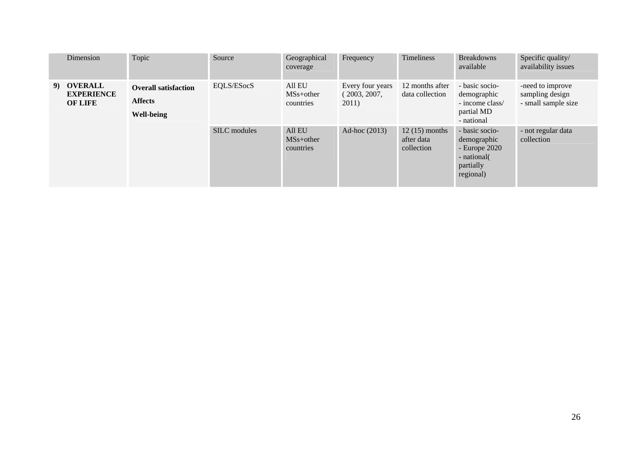| Dimension                                         | Topic                                                       | Source       | Geographical<br>coverage           | Frequency                                 | Timeliness                                  | <b>Breakdowns</b><br>available                                                           | Specific quality/<br>availability issues                   |
|---------------------------------------------------|-------------------------------------------------------------|--------------|------------------------------------|-------------------------------------------|---------------------------------------------|------------------------------------------------------------------------------------------|------------------------------------------------------------|
| 9) OVERALL<br><b>EXPERIENCE</b><br><b>OF LIFE</b> | <b>Overall satisfaction</b><br><b>Affects</b><br>Well-being | EQLS/ESocS   | All EU<br>$MSs+other$<br>countries | Every four years<br>(2003, 2007,<br>2011) | 12 months after<br>data collection          | - basic socio-<br>demographic<br>- income class/<br>partial MD<br>- national             | -need to improve<br>sampling design<br>- small sample size |
|                                                   |                                                             | SILC modules | All EU<br>$MSs+other$<br>countries | Ad-hoc (2013)                             | $12(15)$ months<br>after data<br>collection | - basic socio-<br>demographic<br>$-$ Europe 2020<br>- national<br>partially<br>regional) | - not regular data<br>collection                           |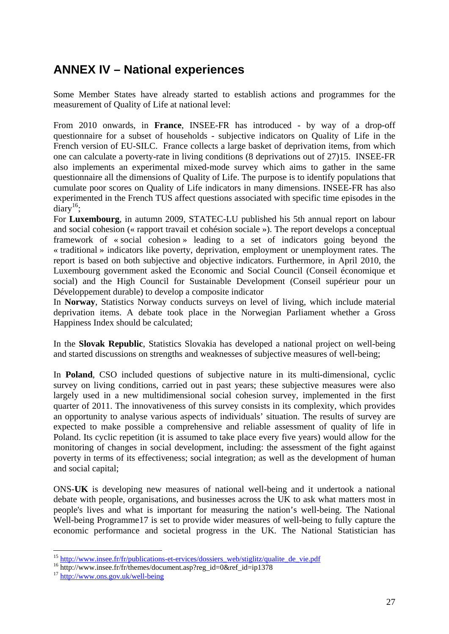## <span id="page-26-0"></span>**ANNEX IV – National experiences**

Some Member States have already started to establish actions and programmes for the measurement of Quality of Life at national level:

From 2010 onwards, in **France**, INSEE-FR has introduced - by way of a drop-off questionnaire for a subset of households - subjective indicators on Quality of Life in the French version of EU-SILC. France collects a large basket of deprivation items, from which one can calculate a poverty-rate in living conditions (8 deprivations out of 27)15. INSEE-FR also implements an experimental mixed-mode survey which aims to gather in the same questionnaire all the dimensions of Quality of Life. The purpose is to identify populations that cumulate poor scores on Quality of Life indicators in many dimensions. INSEE-FR has also experimented in the French TUS affect questions associated with specific time episodes in the  $diary$ <sup>16</sup>;

For **Luxembourg**, in autumn 2009, STATEC-LU published his 5th annual report on labour and social cohesion (« rapport travail et cohésion sociale »). The report develops a conceptual framework of « social cohesion » leading to a set of indicators going beyond the « traditional » indicators like poverty, deprivation, employment or unemployment rates. The report is based on both subjective and objective indicators. Furthermore, in April 2010, the Luxembourg government asked the Economic and Social Council (Conseil économique et social) and the High Council for Sustainable Development (Conseil supérieur pour un Développement durable) to develop a composite indicator

In **Norway**, Statistics Norway conducts surveys on level of living, which include material deprivation items. A debate took place in the Norwegian Parliament whether a Gross Happiness Index should be calculated;

In the **Slovak Republic**, Statistics Slovakia has developed a national project on well-being and started discussions on strengths and weaknesses of subjective measures of well-being;

In **Poland**, CSO included questions of subjective nature in its multi-dimensional, cyclic survey on living conditions, carried out in past years; these subjective measures were also largely used in a new multidimensional social cohesion survey, implemented in the first quarter of 2011. The innovativeness of this survey consists in its complexity, which provides an opportunity to analyse various aspects of individuals' situation. The results of survey are expected to make possible a comprehensive and reliable assessment of quality of life in Poland. Its cyclic repetition (it is assumed to take place every five years) would allow for the monitoring of changes in social development, including: the assessment of the fight against poverty in terms of its effectiveness; social integration; as well as the development of human and social capital;

ONS-**UK** is developing new measures of national well-being and it undertook a national debate with people, organisations, and businesses across the UK to ask what matters most in people's lives and what is important for measuring the nation's well-being. The National Well-being Programme17 is set to provide wider measures of well-being to fully capture the economic performance and societal progress in the UK. The National Statistician has

<sup>&</sup>lt;sup>15</sup> [http://www.insee.fr/fr/publications-et-ervices/dossiers\\_web/stiglitz/qualite\\_de\\_vie.pdf](http://www.insee.fr/fr/publications-et-ervices/dossiers_web/stiglitz/qualite_de_vie.pdf)  $^{16}$  [http://www.insee.fr/fr/themes/docum](http://www.ons.gov.uk/well-being)ent.asp?reg\_id=0&ref\_id=ip1378  $^{17}$  $^{17}$  $^{17}$  <http://www.ons.gov.uk/well-being>